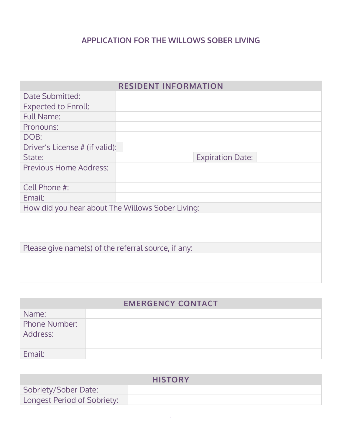#### **APPLICATION FOR THE WILLOWS SOBER LIVING**

| <b>RESIDENT INFORMATION</b>                         |                         |  |
|-----------------------------------------------------|-------------------------|--|
| <b>Date Submitted:</b>                              |                         |  |
| <b>Expected to Enroll:</b>                          |                         |  |
| <b>Full Name:</b>                                   |                         |  |
| Pronouns:                                           |                         |  |
| DOB:                                                |                         |  |
| Driver's License # (if valid):                      |                         |  |
| State:                                              | <b>Expiration Date:</b> |  |
| Previous Home Address:                              |                         |  |
| Cell Phone #:                                       |                         |  |
| Email:                                              |                         |  |
| How did you hear about The Willows Sober Living:    |                         |  |
|                                                     |                         |  |
| Please give name(s) of the referral source, if any: |                         |  |
|                                                     |                         |  |

### **EMERGENCY CONTACT**

| Name:         |  |
|---------------|--|
| Phone Number: |  |
| Address:      |  |
| Email:        |  |

|                             | <b>HISTORY</b> |
|-----------------------------|----------------|
| Sobriety/Sober Date:        |                |
| Longest Period of Sobriety: |                |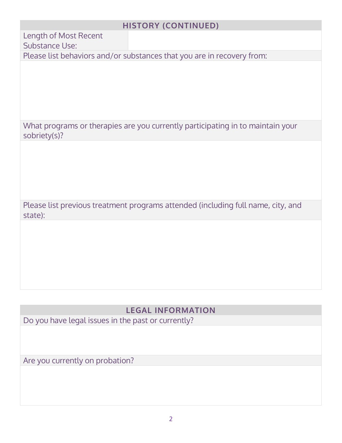### **HISTORY (CONTINUED)**

Length of Most Recent

Substance Use:

Please list behaviors and/or substances that you are in recovery from:

What programs or therapies are you currently participating in to maintain your sobriety(s)?

Please list previous treatment programs attended (including full name, city, and state):

### **LEGAL INFORMATION**

Do you have legal issues in the past or currently?

Are you currently on probation?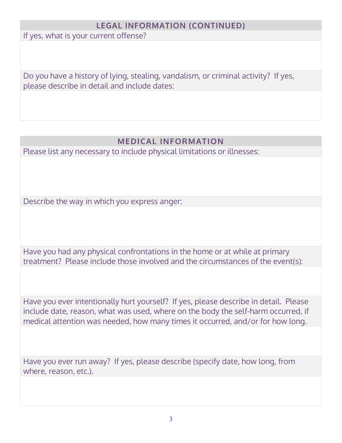## **LEGAL INFORMATION (CONTINUED)**

If yes, what is your current offense?

Do you have a history of lying, stealing, vandalism, or criminal activity? If yes, please describe in detail and include dates:

### **MEDICAL INFORMATION**

Please list any necessary to include physical limitations or illnesses:

Describe the way in which you express anger:

Have you had any physical confrontations in the home or at while at primary treatment? Please include those involved and the circumstances of the event(s):

Have you ever intentionally hurt yourself? If yes, please describe in detail. Please include date, reason, what was used, where on the body the self-harm occurred, if medical attention was needed, how many times it occurred, and/or for how long.

Have you ever run away? If yes, please describe (specify date, how long, from where, reason, etc.).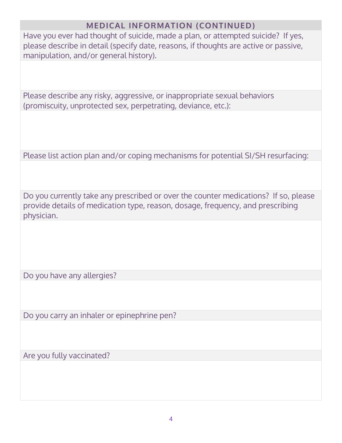### **MEDICAL INFORMATION (CONTINUED)**

Have you ever had thought of suicide, made a plan, or attempted suicide? If yes, please describe in detail (specify date, reasons, if thoughts are active or passive, manipulation, and/or general history).

Please describe any risky, aggressive, or inappropriate sexual behaviors (promiscuity, unprotected sex, perpetrating, deviance, etc.):

Please list action plan and/or coping mechanisms for potential SI/SH resurfacing:

Do you currently take any prescribed or over the counter medications? If so, please provide details of medication type, reason, dosage, frequency, and prescribing physician.

Do you have any allergies?

Do you carry an inhaler or epinephrine pen?

Are you fully vaccinated?